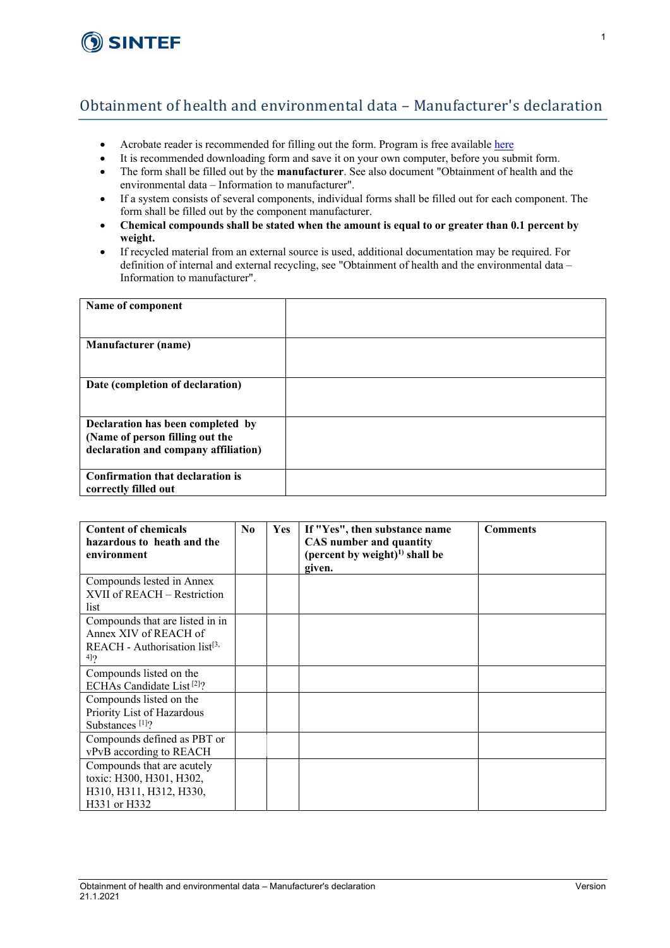

## Obtainment of health and environmental data – Manufacturer's declaration

- Acrobate reader is recommended for filling out the form. Program is free available [here](https://get.adobe.com/uk/reader/)
- It is recommended downloading form and save it on your own computer, before you submit form.
- The form shall be filled out by the **manufacturer**. See also document "Obtainment of health and the environmental data – Information to manufacturer".
- If a system consists of several components, individual forms shall be filled out for each component. The form shall be filled out by the component manufacturer.
- **Chemical compounds shall be stated when the amount is equal to or greater than 0.1 percent by weight.**
- If recycled material from an external source is used, additional documentation may be required. For definition of internal and external recycling, see "Obtainment of health and the environmental data – Information to manufacturer".

| Name of component                                                                                            |  |
|--------------------------------------------------------------------------------------------------------------|--|
| <b>Manufacturer</b> (name)                                                                                   |  |
| Date (completion of declaration)                                                                             |  |
| Declaration has been completed by<br>(Name of person filling out the<br>declaration and company affiliation) |  |
| Confirmation that declaration is<br>correctly filled out                                                     |  |

| <b>Content of chemicals</b><br>hazardous to heath and the                                         | $\bf No$ | <b>Yes</b> | If "Yes", then substance name<br>CAS number and quantity | <b>Comments</b> |
|---------------------------------------------------------------------------------------------------|----------|------------|----------------------------------------------------------|-----------------|
| environment                                                                                       |          |            | (percent by weight) <sup>1)</sup> shall be<br>given.     |                 |
| Compounds lested in Annex<br>XVII of REACH – Restriction<br>list                                  |          |            |                                                          |                 |
| Compounds that are listed in in<br>Annex XIV of REACH of<br>$REACH - Authorisation list[3$<br>4]2 |          |            |                                                          |                 |
| Compounds listed on the<br>ECHAs Candidate List <sup>[2]</sup> ?                                  |          |            |                                                          |                 |
| Compounds listed on the<br>Priority List of Hazardous<br>Substances $[1]$ ?                       |          |            |                                                          |                 |
| Compounds defined as PBT or<br>vPvB according to REACH                                            |          |            |                                                          |                 |
| Compounds that are acutely<br>toxic: H300, H301, H302,<br>H310, H311, H312, H330,<br>H331 or H332 |          |            |                                                          |                 |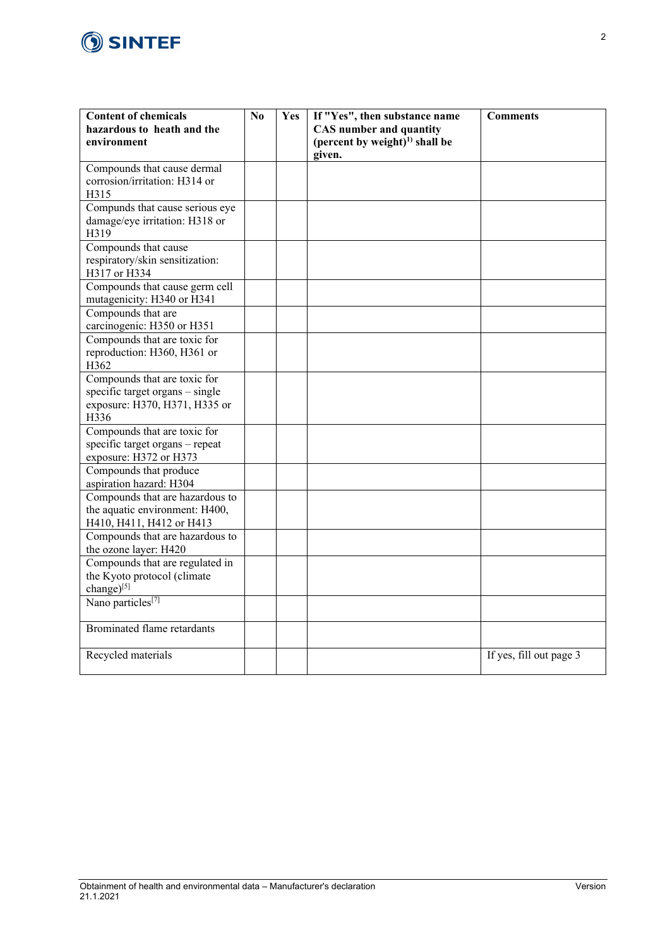

| <b>Content of chemicals</b><br>hazardous to heath and the<br>environment                                 | No | Yes | If "Yes", then substance name<br><b>CAS</b> number and quantity<br>(percent by weight) <sup><math>1)</math></sup> shall be<br>given. | <b>Comments</b>         |
|----------------------------------------------------------------------------------------------------------|----|-----|--------------------------------------------------------------------------------------------------------------------------------------|-------------------------|
| Compounds that cause dermal<br>corrosion/irritation: H314 or<br>H315                                     |    |     |                                                                                                                                      |                         |
| Compunds that cause serious eye<br>damage/eye irritation: H318 or<br>H319                                |    |     |                                                                                                                                      |                         |
| Compounds that cause<br>respiratory/skin sensitization:<br>H317 or H334                                  |    |     |                                                                                                                                      |                         |
| Compounds that cause germ cell<br>mutagenicity: H340 or H341                                             |    |     |                                                                                                                                      |                         |
| Compounds that are<br>carcinogenic: H350 or H351                                                         |    |     |                                                                                                                                      |                         |
| Compounds that are toxic for<br>reproduction: H360, H361 or<br>H362                                      |    |     |                                                                                                                                      |                         |
| Compounds that are toxic for<br>specific target organs - single<br>exposure: H370, H371, H335 or<br>H336 |    |     |                                                                                                                                      |                         |
| Compounds that are toxic for<br>specific target organs - repeat<br>exposure: H372 or H373                |    |     |                                                                                                                                      |                         |
| Compounds that produce<br>aspiration hazard: H304                                                        |    |     |                                                                                                                                      |                         |
| Compounds that are hazardous to<br>the aquatic environment: H400,<br>H410, H411, H412 or H413            |    |     |                                                                                                                                      |                         |
| Compounds that are hazardous to<br>the ozone layer: H420                                                 |    |     |                                                                                                                                      |                         |
| Compounds that are regulated in<br>the Kyoto protocol (climate<br>change)[5]                             |    |     |                                                                                                                                      |                         |
| Nano particles <sup>[7]</sup>                                                                            |    |     |                                                                                                                                      |                         |
| <b>Brominated flame retardants</b>                                                                       |    |     |                                                                                                                                      |                         |
| Recycled materials                                                                                       |    |     |                                                                                                                                      | If yes, fill out page 3 |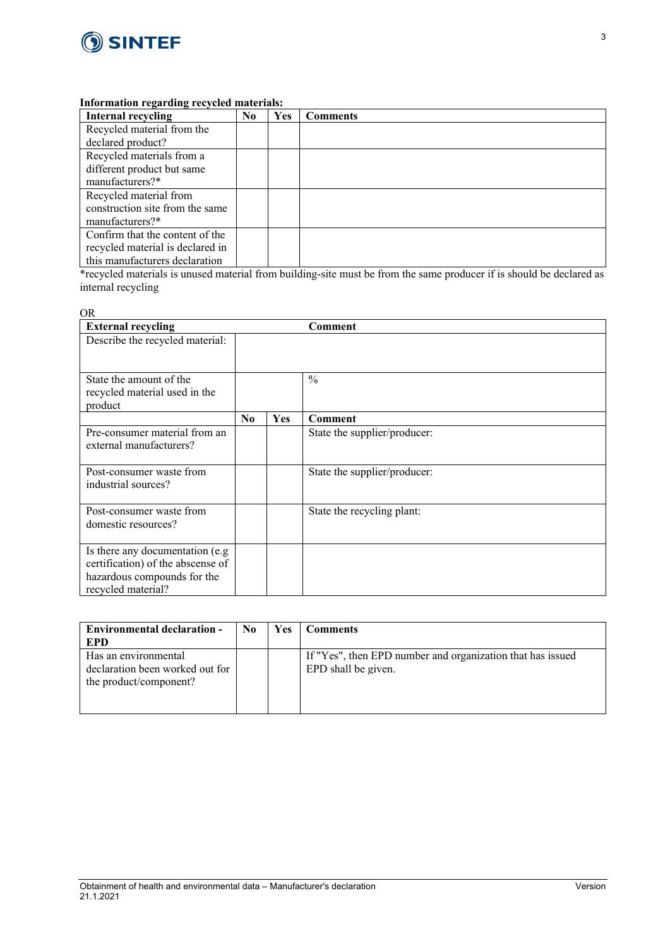

## **Information regarding recycled materials:**

| Internal recycling               | No. | <b>Yes</b> | <b>Comments</b> |
|----------------------------------|-----|------------|-----------------|
| Recycled material from the       |     |            |                 |
| declared product?                |     |            |                 |
| Recycled materials from a        |     |            |                 |
| different product but same       |     |            |                 |
| manufacturers?*                  |     |            |                 |
| Recycled material from           |     |            |                 |
| construction site from the same  |     |            |                 |
| manufacturers?*                  |     |            |                 |
| Confirm that the content of the  |     |            |                 |
| recycled material is declared in |     |            |                 |
| this manufacturers declaration   |     |            |                 |

\*recycled materials is unused material from building-site must be from the same producer if is should be declared as internal recycling

## OR

| <b>External recycling</b>                                                                                                  |                |            | Comment                      |
|----------------------------------------------------------------------------------------------------------------------------|----------------|------------|------------------------------|
| Describe the recycled material:                                                                                            |                |            |                              |
| State the amount of the<br>recycled material used in the<br>product                                                        |                |            | $\frac{0}{0}$                |
|                                                                                                                            | N <sub>0</sub> | <b>Yes</b> | Comment                      |
| Pre-consumer material from an<br>external manufacturers?                                                                   |                |            | State the supplier/producer: |
| Post-consumer waste from<br>industrial sources?                                                                            |                |            | State the supplier/producer: |
| Post-consumer waste from<br>domestic resources?                                                                            |                |            | State the recycling plant:   |
| Is there any documentation (e.g.<br>certification) of the abscense of<br>hazardous compounds for the<br>recycled material? |                |            |                              |

| <b>Environmental declaration -</b><br><b>EPD</b>                                  | No. | <b>Yes</b> | <b>Comments</b>                                                                   |
|-----------------------------------------------------------------------------------|-----|------------|-----------------------------------------------------------------------------------|
| Has an environmental<br>declaration been worked out for<br>the product/component? |     |            | If "Yes", then EPD number and organization that has issued<br>EPD shall be given. |